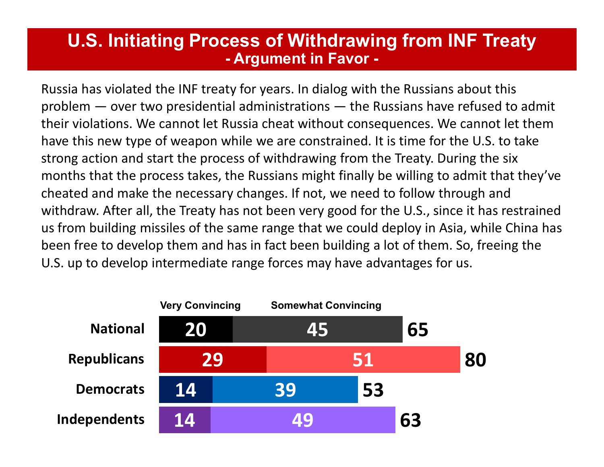## U.S. Initiating Process of Withdrawing from INF Treaty **Cass of Withdrawing from INF<br>- Argument in Favor -<br>ty for years. In dialog with the Russians about<br>al administrations — the Russians have refus**

Russia has violated the INF treaty for years. In dialog with the Russians about this **U.S. Initiating Process of Withdrawing from INF Treaty**<br>- **Argument in Favor -**<br>Russia has violated the INF treaty for years. In dialog with the Russians about this<br>problem — over two presidential administrations — the Ru their violations. We cannot let Russia cheat without consequences. We cannot let them have this new type of weapon while we are constrained. It is time for the U.S. to take strong action and start the process of withdrawing from the Treaty. During the six months that the process takes, the Russians might finally be willing to admit that they've cheated and make the necessary changes. If not, we need to follow through and withdraw. After all, the Treaty has not been very good for the U.S., since it has restrained us from building missiles of the same range that we could deploy in Asia, while China has been free to develop them and has in fact been building a lot of them. So, freeing the U.S. up to develop intermediate range forces may have advantages for us. For the Russian matrix and the Nussian matrice of the Russian matrice of the Russian cheat without consequences. We cannot let the process of withdrawing from the Treaty. During the six cess takes, the Russians might final

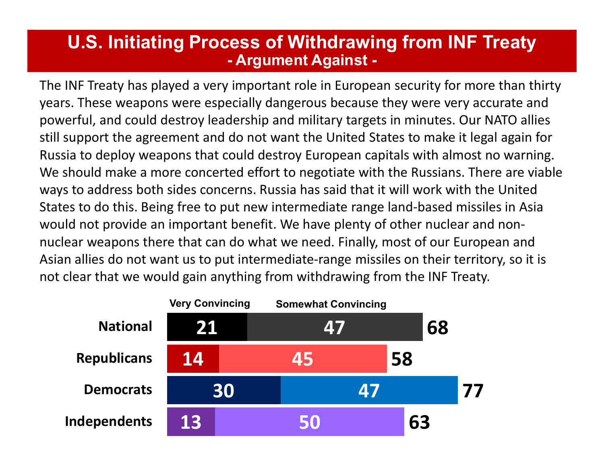## U.S. Initiating Process of Withdrawing from INF Treaty **ess of Withdrawing from INF :<br>- Argument Against -<br>important role in European security for morecially dangerous because they were very act**

The INF Treaty has played a very important role in European security for more than thirty years. These weapons were especially dangerous because they were very accurate and powerful, and could destroy leadership and military targets in minutes. Our NATO allies still support the agreement and do not want the United States to make it legal again for Russia to deploy weapons that could destroy European capitals with almost no warning. We should make a more concerted effort to negotiate with the Russians. There are viable ways to address both sides concerns. Russia has said that it will work with the United States to do this. Being free to put new intermediate range land-based missiles in Asia would not provide an important benefit. We have plenty of other nuclear and nonnuclear weapons there that can do what we need. Finally, most of our European and Asian allies do not want us to put intermediate-range missiles on their territory, so it is not clear that we would gain anything from withdrawing from the INF Treaty.

|                    | <b>Very Convincing</b> |  | <b>Somewhat Convincing</b> |  |    |    |
|--------------------|------------------------|--|----------------------------|--|----|----|
| <b>National</b>    | 21                     |  | 47                         |  |    | 68 |
| <b>Republicans</b> | 14                     |  | 45                         |  | 58 |    |
| <b>Democrats</b>   | 30                     |  | 47                         |  |    |    |
| Independents       | 13                     |  | 50                         |  | 63 |    |